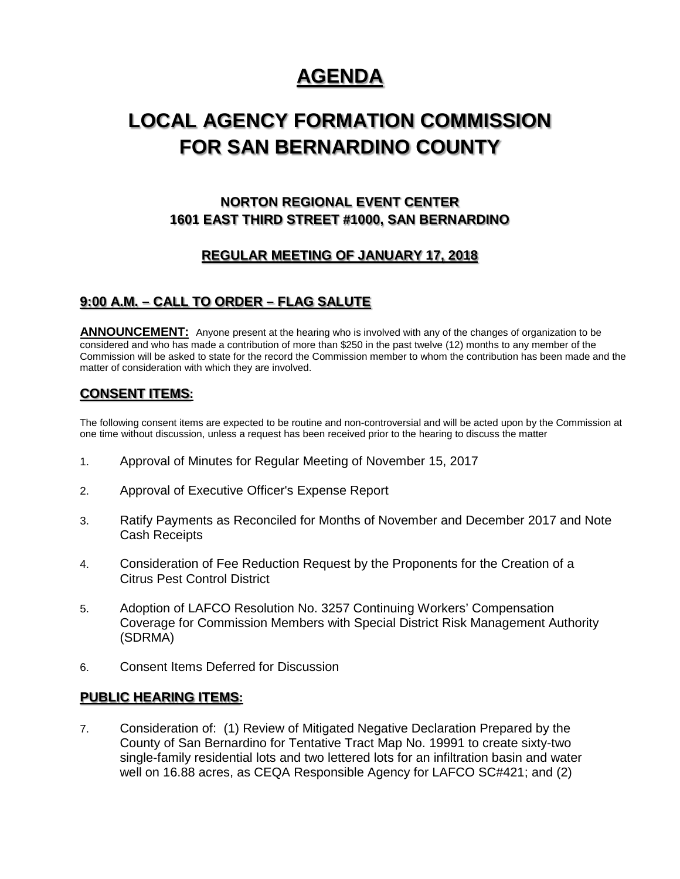# **AGENDA**

# **LOCAL AGENCY FORMATION COMMISSION FOR SAN BERNARDINO COUNTY**

## **NORTON REGIONAL EVENT CENTER 1601 EAST THIRD STREET #1000, SAN BERNARDINO**

## **REGULAR MEETING OF JANUARY 17, 2018**

## **9:00 A.M. – CALL TO ORDER – FLAG SALUTE**

**ANNOUNCEMENT:** Anyone present at the hearing who is involved with any of the changes of organization to be considered and who has made a contribution of more than \$250 in the past twelve (12) months to any member of the Commission will be asked to state for the record the Commission member to whom the contribution has been made and the matter of consideration with which they are involved.

## **CONSENT ITEMS:**

The following consent items are expected to be routine and non-controversial and will be acted upon by the Commission at one time without discussion, unless a request has been received prior to the hearing to discuss the matter

- 1. Approval of Minutes for Regular Meeting of November 15, 2017
- 2. Approval of Executive Officer's Expense Report
- 3. Ratify Payments as Reconciled for Months of November and December 2017 and Note Cash Receipts
- 4. Consideration of Fee Reduction Request by the Proponents for the Creation of a Citrus Pest Control District
- 5. Adoption of LAFCO Resolution No. 3257 Continuing Workers' Compensation Coverage for Commission Members with Special District Risk Management Authority (SDRMA)
- 6. Consent Items Deferred for Discussion

### **PUBLIC HEARING ITEMS:**

7. Consideration of: (1) Review of Mitigated Negative Declaration Prepared by the County of San Bernardino for Tentative Tract Map No. 19991 to create sixty-two single-family residential lots and two lettered lots for an infiltration basin and water well on 16.88 acres, as CEQA Responsible Agency for LAFCO SC#421; and (2)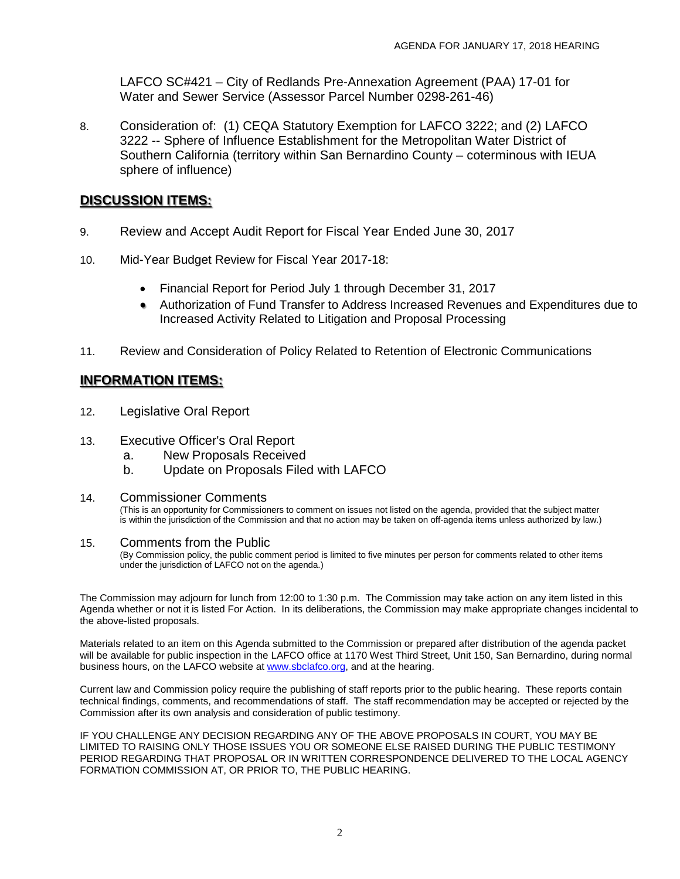LAFCO SC#421 – City of Redlands Pre-Annexation Agreement (PAA) 17-01 for Water and Sewer Service (Assessor Parcel Number 0298-261-46)

8. Consideration of: (1) CEQA Statutory Exemption for LAFCO 3222; and (2) LAFCO 3222 -- Sphere of Influence Establishment for the Metropolitan Water District of Southern California (territory within San Bernardino County – coterminous with IEUA sphere of influence)

## **DISCUSSION ITEMS:**

- 9. Review and Accept Audit Report for Fiscal Year Ended June 30, 2017
- 10. Mid-Year Budget Review for Fiscal Year 2017-18:
	- Financial Report for Period July 1 through December 31, 2017
	- Authorization of Fund Transfer to Address Increased Revenues and Expenditures due to Increased Activity Related to Litigation and Proposal Processing
- 11. Review and Consideration of Policy Related to Retention of Electronic Communications

## **INFORMATION ITEMS:**

- 12. Legislative Oral Report
- 13. Executive Officer's Oral Report
	- a. New Proposals Received
	- b. Update on Proposals Filed with LAFCO

### 14. Commissioner Comments

(This is an opportunity for Commissioners to comment on issues not listed on the agenda, provided that the subject matter is within the jurisdiction of the Commission and that no action may be taken on off-agenda items unless authorized by law.)

### 15. Comments from the Public

(By Commission policy, the public comment period is limited to five minutes per person for comments related to other items under the jurisdiction of LAFCO not on the agenda.)

The Commission may adjourn for lunch from 12:00 to 1:30 p.m. The Commission may take action on any item listed in this Agenda whether or not it is listed For Action. In its deliberations, the Commission may make appropriate changes incidental to the above-listed proposals.

Materials related to an item on this Agenda submitted to the Commission or prepared after distribution of the agenda packet will be available for public inspection in the LAFCO office at 1170 West Third Street, Unit 150, San Bernardino, during normal business hours, on the LAFCO website a[t www.sbclafco.org,](http://www.sbclafco.org/) and at the hearing.

Current law and Commission policy require the publishing of staff reports prior to the public hearing. These reports contain technical findings, comments, and recommendations of staff. The staff recommendation may be accepted or rejected by the Commission after its own analysis and consideration of public testimony.

IF YOU CHALLENGE ANY DECISION REGARDING ANY OF THE ABOVE PROPOSALS IN COURT, YOU MAY BE LIMITED TO RAISING ONLY THOSE ISSUES YOU OR SOMEONE ELSE RAISED DURING THE PUBLIC TESTIMONY PERIOD REGARDING THAT PROPOSAL OR IN WRITTEN CORRESPONDENCE DELIVERED TO THE LOCAL AGENCY FORMATION COMMISSION AT, OR PRIOR TO, THE PUBLIC HEARING.